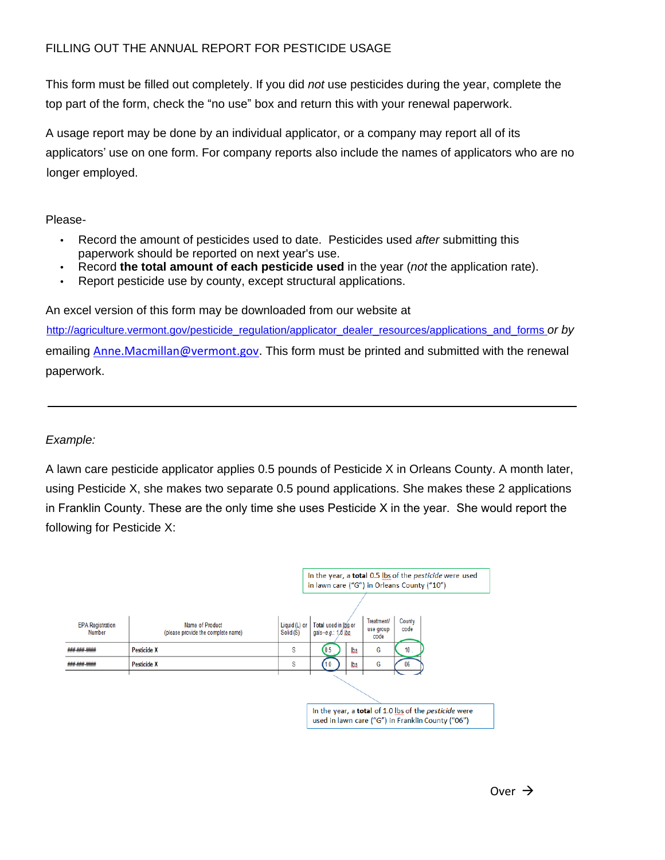## FILLING OUT THE ANNUAL REPORT FOR PESTICIDE USAGE

This form must be filled out completely. If you did not use pesticides during the year, complete the top part of the form, check the "no use" box and return this with your renewal paperwork.

A usage report may be done by an individual applicator, or a company may report all of its applicators' use on one form. For company reports also include the names of applicators who are no longer employed.

Please-

- Record the amount of pesticides used to date. Pesticides used after submitting this paperwork should be reported on next year's use.
- Record **the total amount of each pesticide used** in the year (not the application rate).
- Report pesticide use by county, except structural applications.

An excel version of this form may be downloaded from our website at

paperwork. [http://agriculture.vermont.gov/pesticide\\_regulation/applicator\\_dealer\\_resources/applications\\_and\\_forms](http://agriculture.vermont.gov/pesticide_regulation/applicator_dealer_resources/applications_and_forms) or by emailing Anne.Macmillan@vermont.gov. This form must be printed and submitted with the renewal

## Example:

A lawn care pesticide applicator applies 0.5 pounds of Pesticide X in Orleans County. A month later, using Pesticide X, she makes two separate 0.5 pound applications. She makes these 2 applications in Franklin County. These are the only time she uses Pesticide X in the year. She would report the following for Pesticide X: